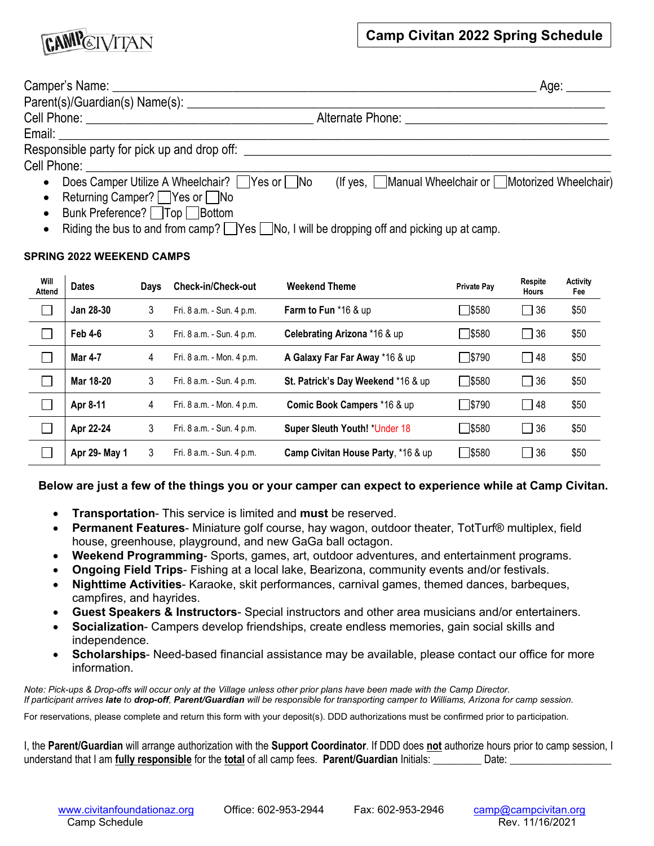

| Camper's Name: 2008                                      | Age: ______                                         |
|----------------------------------------------------------|-----------------------------------------------------|
| Parent(s)/Guardian(s) Name(s): _______                   |                                                     |
|                                                          |                                                     |
| Email: ___________________________________               |                                                     |
| Responsible party for pick up and drop off:              |                                                     |
|                                                          |                                                     |
| Does Camper Utilize A Wheelchair? Ves or No<br>$\bullet$ | (If yes, Manual Wheelchair or Motorized Wheelchair) |
| • Returning Camper? $\Box$ Yes or $\Box$ No              |                                                     |

- Bunk Preference? Top Bottom
- Riding the bus to and from camp?  $\Box$  Yes  $\Box$  No, I will be dropping off and picking up at camp.

#### **SPRING 2022 WEEKEND CAMPS**

| Will<br>Attend | <b>Dates</b>   | Days | <b>Check-in/Check-out</b> | <b>Weekend Theme</b>               | <b>Private Pay</b> | Respite<br>Hours | <b>Activity</b><br>Fee |
|----------------|----------------|------|---------------------------|------------------------------------|--------------------|------------------|------------------------|
|                | Jan 28-30      | 3    | Fri. 8 a.m. - Sun. 4 p.m. | <b>Farm to Fun</b> $*$ 16 & up     | S580               | $\Box$ 36        | \$50                   |
|                | <b>Feb 4-6</b> | 3    | Fri. 8 a.m. - Sun. 4 p.m. | Celebrating Arizona *16 & up       | □\$580             | $\Box$ 36        | \$50                   |
|                | <b>Mar 4-7</b> | 4    | Fri. 8 a.m. - Mon. 4 p.m. | A Galaxy Far Far Away *16 & up     | □\$790             | 48               | \$50                   |
|                | Mar 18-20      | 3    | Fri. 8 a.m. - Sun. 4 p.m. | St. Patrick's Day Weekend *16 & up | S580               | $\Box$ 36        | \$50                   |
|                | Apr 8-11       | 4    | Fri. 8 a.m. - Mon. 4 p.m. | Comic Book Campers *16 & up        | <sup>1\$790</sup>  | $\Box$ 48        | \$50                   |
|                | Apr 22-24      | 3    | Fri. 8 a.m. - Sun. 4 p.m. | Super Sleuth Youth! *Under 18      | <b>N</b> \$580     | $\Box$ 36        | \$50                   |
|                | Apr 29- May 1  | 3    | Fri. 8 a.m. - Sun. 4 p.m. | Camp Civitan House Party, *16 & up | □\$580             | $\Box$ 36        | \$50                   |

#### **Below are just a few of the things you or your camper can expect to experience while at Camp Civitan.**

- **Transportation** This service is limited and **must** be reserved.
- **Permanent Features** Miniature golf course, hay wagon, outdoor theater, TotTurf® multiplex, field house, greenhouse, playground, and new GaGa ball octagon.
- **Weekend Programming** Sports, games, art, outdoor adventures, and entertainment programs.
- **Ongoing Field Trips** Fishing at a local lake, Bearizona, community events and/or festivals.
- **Nighttime Activities** Karaoke, skit performances, carnival games, themed dances, barbeques, campfires, and hayrides.
- **Guest Speakers & Instructors** Special instructors and other area musicians and/or entertainers.
- **Socialization** Campers develop friendships, create endless memories, gain social skills and independence.
- **Scholarships** Need-based financial assistance may be available, please contact our office for more information.

*Note: Pick-ups & Drop-offs will occur only at the Village unless other prior plans have been made with the Camp Director. If participant arrives late to drop-off, Parent/Guardian will be responsible for transporting camper to Williams, Arizona for camp session.*

For reservations, please complete and return this form with your deposit(s). DDD authorizations must be confirmed prior to participation.

I, the **Parent/Guardian** will arrange authorization with the **Support Coordinator**. If DDD does **not** authorize hours prior to camp session, I understand that I am **fully responsible** for the **total** of all camp fees. **Parent/Guardian** Initials: \_\_\_\_\_\_\_\_\_ Date: \_\_\_\_\_\_\_\_\_\_\_\_\_\_\_\_\_\_\_